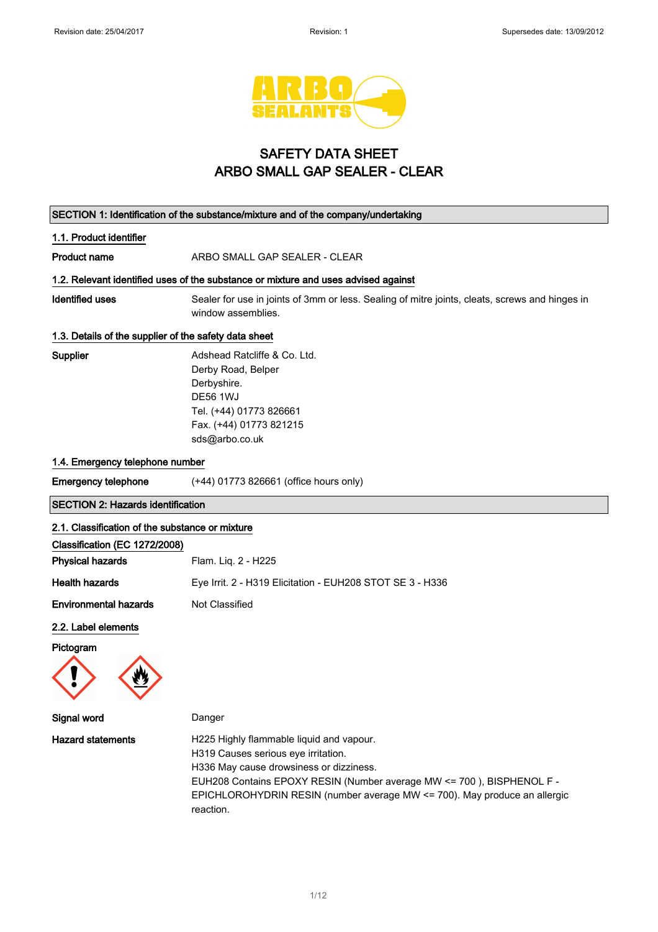

# SAFETY DATA SHEET ARBO SMALL GAP SEALER - CLEAR

| SECTION 1: Identification of the substance/mixture and of the company/undertaking                           |                                                                                                                                                                                                                                                                                               |  |
|-------------------------------------------------------------------------------------------------------------|-----------------------------------------------------------------------------------------------------------------------------------------------------------------------------------------------------------------------------------------------------------------------------------------------|--|
| 1.1. Product identifier                                                                                     |                                                                                                                                                                                                                                                                                               |  |
| <b>Product name</b>                                                                                         | ARBO SMALL GAP SEALER - CLEAR                                                                                                                                                                                                                                                                 |  |
| 1.2. Relevant identified uses of the substance or mixture and uses advised against                          |                                                                                                                                                                                                                                                                                               |  |
| <b>Identified uses</b>                                                                                      | Sealer for use in joints of 3mm or less. Sealing of mitre joints, cleats, screws and hinges in<br>window assemblies.                                                                                                                                                                          |  |
| 1.3. Details of the supplier of the safety data sheet                                                       |                                                                                                                                                                                                                                                                                               |  |
| Supplier                                                                                                    | Adshead Ratcliffe & Co. Ltd.<br>Derby Road, Belper<br>Derbyshire.<br><b>DE56 1WJ</b><br>Tel. (+44) 01773 826661<br>Fax. (+44) 01773 821215<br>sds@arbo.co.uk                                                                                                                                  |  |
| 1.4. Emergency telephone number                                                                             |                                                                                                                                                                                                                                                                                               |  |
| <b>Emergency telephone</b>                                                                                  | (+44) 01773 826661 (office hours only)                                                                                                                                                                                                                                                        |  |
| <b>SECTION 2: Hazards identification</b>                                                                    |                                                                                                                                                                                                                                                                                               |  |
| 2.1. Classification of the substance or mixture<br>Classification (EC 1272/2008)<br><b>Physical hazards</b> | Flam. Liq. 2 - H225                                                                                                                                                                                                                                                                           |  |
| <b>Health hazards</b>                                                                                       | Eye Irrit. 2 - H319 Elicitation - EUH208 STOT SE 3 - H336                                                                                                                                                                                                                                     |  |
| <b>Environmental hazards</b>                                                                                | Not Classified                                                                                                                                                                                                                                                                                |  |
| 2.2. Label elements<br>Pictogram                                                                            |                                                                                                                                                                                                                                                                                               |  |
| Signal word                                                                                                 | Danger                                                                                                                                                                                                                                                                                        |  |
| <b>Hazard statements</b>                                                                                    | H225 Highly flammable liquid and vapour.<br>H319 Causes serious eye irritation.<br>H336 May cause drowsiness or dizziness.<br>EUH208 Contains EPOXY RESIN (Number average MW <= 700), BISPHENOL F -<br>EPICHLOROHYDRIN RESIN (number average MW <= 700). May produce an allergic<br>reaction. |  |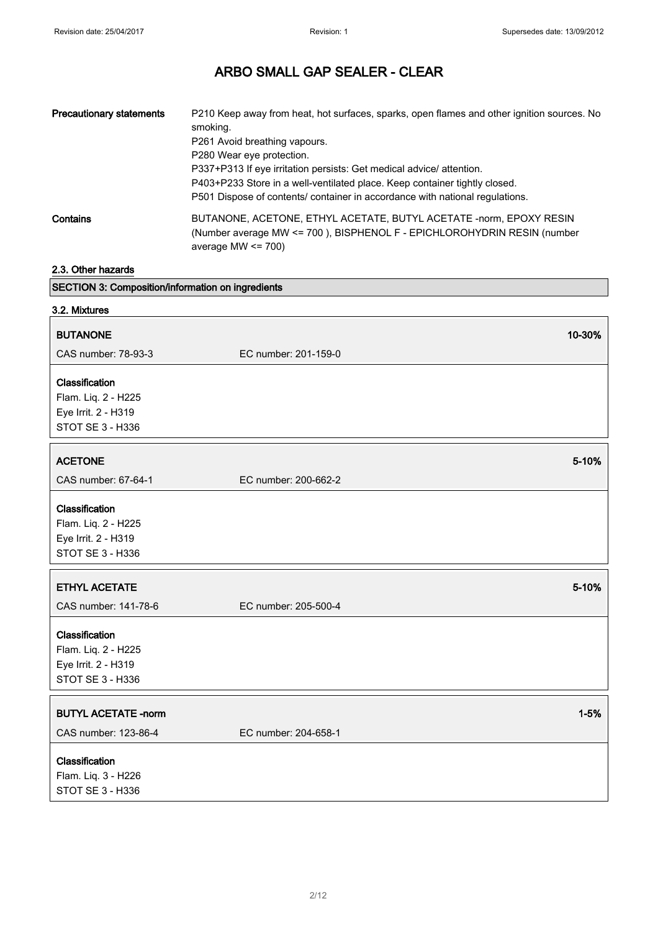| <b>Precautionary statements</b> | P210 Keep away from heat, hot surfaces, sparks, open flames and other ignition sources. No<br>smoking.<br>P261 Avoid breathing vapours.<br>P280 Wear eye protection.<br>P337+P313 If eye irritation persists: Get medical advice/attention.<br>P403+P233 Store in a well-ventilated place. Keep container tightly closed.<br>P501 Dispose of contents/ container in accordance with national regulations. |
|---------------------------------|-----------------------------------------------------------------------------------------------------------------------------------------------------------------------------------------------------------------------------------------------------------------------------------------------------------------------------------------------------------------------------------------------------------|
| Contains                        | BUTANONE, ACETONE, ETHYL ACETATE, BUTYL ACETATE -norm, EPOXY RESIN<br>(Number average MW <= 700), BISPHENOL F - EPICHLOROHYDRIN RESIN (number<br>average MW $\leq$ 700)                                                                                                                                                                                                                                   |

## 2.3. Other hazards

SECTION 3: Composition/information on ingredients

| 3.2. Mixtures                         |                      |          |
|---------------------------------------|----------------------|----------|
| <b>BUTANONE</b>                       |                      | 10-30%   |
| CAS number: 78-93-3                   | EC number: 201-159-0 |          |
| Classification                        |                      |          |
| Flam. Liq. 2 - H225                   |                      |          |
| Eye Irrit. 2 - H319                   |                      |          |
| STOT SE 3 - H336                      |                      |          |
| <b>ACETONE</b>                        |                      | 5-10%    |
| CAS number: 67-64-1                   | EC number: 200-662-2 |          |
| Classification                        |                      |          |
| Flam. Liq. 2 - H225                   |                      |          |
| Eye Irrit. 2 - H319                   |                      |          |
| STOT SE 3 - H336                      |                      |          |
| <b>ETHYL ACETATE</b>                  |                      | 5-10%    |
| CAS number: 141-78-6                  | EC number: 205-500-4 |          |
|                                       |                      |          |
| Classification<br>Flam. Liq. 2 - H225 |                      |          |
| Eye Irrit. 2 - H319                   |                      |          |
| STOT SE 3 - H336                      |                      |          |
|                                       |                      |          |
| <b>BUTYL ACETATE -norm</b>            |                      | $1 - 5%$ |
| CAS number: 123-86-4                  | EC number: 204-658-1 |          |
| Classification                        |                      |          |
| Flam. Liq. 3 - H226                   |                      |          |
| STOT SE 3 - H336                      |                      |          |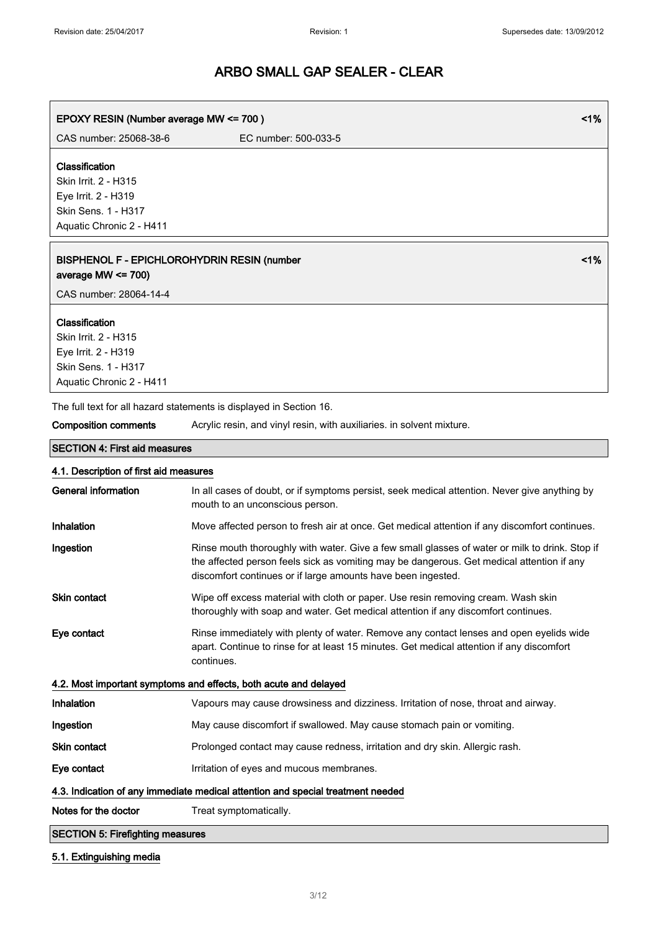l,

# ARBO SMALL GAP SEALER - CLEAR

| EPOXY RESIN (Number average MW <= 700)                                      | 1%                                                                                                                                                                                                                                                          |
|-----------------------------------------------------------------------------|-------------------------------------------------------------------------------------------------------------------------------------------------------------------------------------------------------------------------------------------------------------|
| CAS number: 25068-38-6                                                      | EC number: 500-033-5                                                                                                                                                                                                                                        |
| Classification                                                              |                                                                                                                                                                                                                                                             |
| Skin Irrit. 2 - H315                                                        |                                                                                                                                                                                                                                                             |
| Eye Irrit. 2 - H319                                                         |                                                                                                                                                                                                                                                             |
| Skin Sens. 1 - H317                                                         |                                                                                                                                                                                                                                                             |
| Aquatic Chronic 2 - H411                                                    |                                                                                                                                                                                                                                                             |
| <b>BISPHENOL F - EPICHLOROHYDRIN RESIN (number</b><br>average MW $<= 700$ ) | 1%                                                                                                                                                                                                                                                          |
| CAS number: 28064-14-4                                                      |                                                                                                                                                                                                                                                             |
| Classification                                                              |                                                                                                                                                                                                                                                             |
| Skin Irrit. 2 - H315                                                        |                                                                                                                                                                                                                                                             |
| Eye Irrit. 2 - H319                                                         |                                                                                                                                                                                                                                                             |
| <b>Skin Sens. 1 - H317</b>                                                  |                                                                                                                                                                                                                                                             |
| Aquatic Chronic 2 - H411                                                    |                                                                                                                                                                                                                                                             |
|                                                                             | The full text for all hazard statements is displayed in Section 16.                                                                                                                                                                                         |
| <b>Composition comments</b>                                                 | Acrylic resin, and vinyl resin, with auxiliaries. in solvent mixture.                                                                                                                                                                                       |
| <b>SECTION 4: First aid measures</b>                                        |                                                                                                                                                                                                                                                             |
| 4.1. Description of first aid measures                                      |                                                                                                                                                                                                                                                             |
| <b>General information</b>                                                  | In all cases of doubt, or if symptoms persist, seek medical attention. Never give anything by<br>mouth to an unconscious person.                                                                                                                            |
| Inhalation                                                                  | Move affected person to fresh air at once. Get medical attention if any discomfort continues.                                                                                                                                                               |
| Ingestion                                                                   | Rinse mouth thoroughly with water. Give a few small glasses of water or milk to drink. Stop if<br>the affected person feels sick as vomiting may be dangerous. Get medical attention if any<br>discomfort continues or if large amounts have been ingested. |
| Skin contact                                                                | Wipe off excess material with cloth or paper. Use resin removing cream. Wash skin<br>thoroughly with soap and water. Get medical attention if any discomfort continues.                                                                                     |
| Eye contact                                                                 | Rinse immediately with plenty of water. Remove any contact lenses and open eyelids wide<br>apart. Continue to rinse for at least 15 minutes. Get medical attention if any discomfort<br>continues.                                                          |
|                                                                             | 4.2. Most important symptoms and effects, both acute and delayed                                                                                                                                                                                            |
| Inhalation                                                                  | Vapours may cause drowsiness and dizziness. Irritation of nose, throat and airway.                                                                                                                                                                          |
| Ingestion                                                                   | May cause discomfort if swallowed. May cause stomach pain or vomiting.                                                                                                                                                                                      |
| Skin contact                                                                | Prolonged contact may cause redness, irritation and dry skin. Allergic rash.                                                                                                                                                                                |
| Eye contact                                                                 | Irritation of eyes and mucous membranes.                                                                                                                                                                                                                    |
|                                                                             | 4.3. Indication of any immediate medical attention and special treatment needed                                                                                                                                                                             |
| Notes for the doctor                                                        | Treat symptomatically.                                                                                                                                                                                                                                      |
| <b>SECTION 5: Firefighting measures</b>                                     |                                                                                                                                                                                                                                                             |

# 5.1. Extinguishing media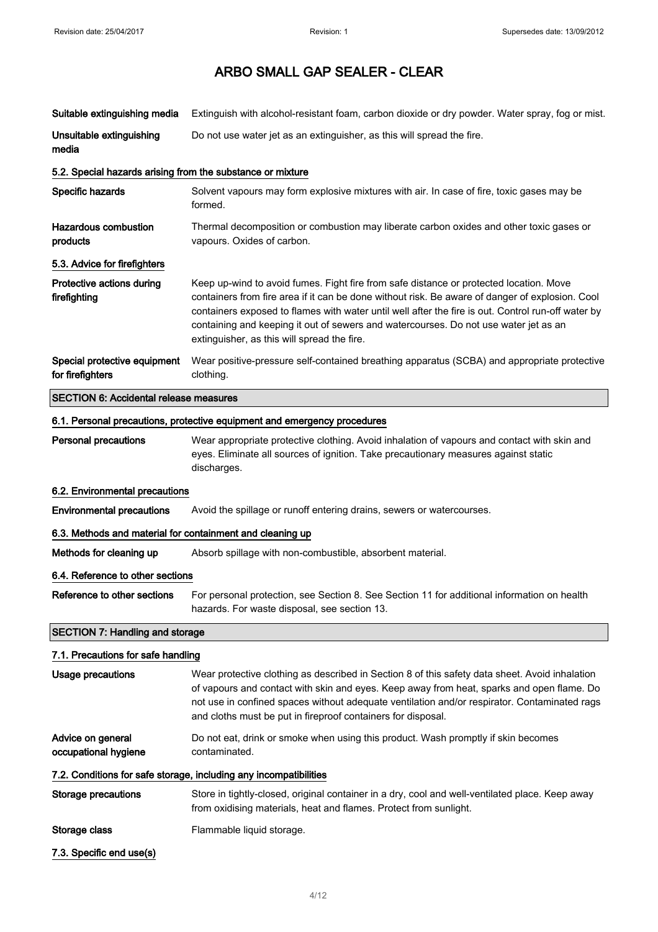| Suitable extinguishing media                                             | Extinguish with alcohol-resistant foam, carbon dioxide or dry powder. Water spray, fog or mist.                                                                                                                                                                                                                                                                                                                                        |  |
|--------------------------------------------------------------------------|----------------------------------------------------------------------------------------------------------------------------------------------------------------------------------------------------------------------------------------------------------------------------------------------------------------------------------------------------------------------------------------------------------------------------------------|--|
| Unsuitable extinguishing<br>media                                        | Do not use water jet as an extinguisher, as this will spread the fire.                                                                                                                                                                                                                                                                                                                                                                 |  |
| 5.2. Special hazards arising from the substance or mixture               |                                                                                                                                                                                                                                                                                                                                                                                                                                        |  |
| Specific hazards                                                         | Solvent vapours may form explosive mixtures with air. In case of fire, toxic gases may be<br>formed.                                                                                                                                                                                                                                                                                                                                   |  |
| <b>Hazardous combustion</b><br>products                                  | Thermal decomposition or combustion may liberate carbon oxides and other toxic gases or<br>vapours. Oxides of carbon.                                                                                                                                                                                                                                                                                                                  |  |
| 5.3. Advice for firefighters                                             |                                                                                                                                                                                                                                                                                                                                                                                                                                        |  |
| Protective actions during<br>firefighting                                | Keep up-wind to avoid fumes. Fight fire from safe distance or protected location. Move<br>containers from fire area if it can be done without risk. Be aware of danger of explosion. Cool<br>containers exposed to flames with water until well after the fire is out. Control run-off water by<br>containing and keeping it out of sewers and watercourses. Do not use water jet as an<br>extinguisher, as this will spread the fire. |  |
| Special protective equipment<br>for firefighters                         | Wear positive-pressure self-contained breathing apparatus (SCBA) and appropriate protective<br>clothing.                                                                                                                                                                                                                                                                                                                               |  |
| <b>SECTION 6: Accidental release measures</b>                            |                                                                                                                                                                                                                                                                                                                                                                                                                                        |  |
| 6.1. Personal precautions, protective equipment and emergency procedures |                                                                                                                                                                                                                                                                                                                                                                                                                                        |  |
| <b>Personal precautions</b>                                              | Wear appropriate protective clothing. Avoid inhalation of vapours and contact with skin and<br>eyes. Eliminate all sources of ignition. Take precautionary measures against static<br>discharges.                                                                                                                                                                                                                                      |  |
| 6.2. Environmental precautions                                           |                                                                                                                                                                                                                                                                                                                                                                                                                                        |  |
| <b>Environmental precautions</b>                                         | Avoid the spillage or runoff entering drains, sewers or watercourses.                                                                                                                                                                                                                                                                                                                                                                  |  |
| 6.3. Methods and material for containment and cleaning up                |                                                                                                                                                                                                                                                                                                                                                                                                                                        |  |
| Methods for cleaning up                                                  | Absorb spillage with non-combustible, absorbent material.                                                                                                                                                                                                                                                                                                                                                                              |  |
| 6.4. Reference to other sections                                         |                                                                                                                                                                                                                                                                                                                                                                                                                                        |  |
| Reference to other sections                                              | For personal protection, see Section 8. See Section 11 for additional information on health<br>hazards. For waste disposal, see section 13.                                                                                                                                                                                                                                                                                            |  |
| <b>SECTION 7: Handling and storage</b>                                   |                                                                                                                                                                                                                                                                                                                                                                                                                                        |  |
| 7.1. Precautions for safe handling                                       |                                                                                                                                                                                                                                                                                                                                                                                                                                        |  |
| Usage precautions                                                        | Wear protective clothing as described in Section 8 of this safety data sheet. Avoid inhalation<br>of vapours and contact with skin and eyes. Keep away from heat, sparks and open flame. Do<br>not use in confined spaces without adequate ventilation and/or respirator. Contaminated rags<br>and cloths must be put in fireproof containers for disposal.                                                                            |  |
| Advice on general<br>occupational hygiene                                | Do not eat, drink or smoke when using this product. Wash promptly if skin becomes<br>contaminated.                                                                                                                                                                                                                                                                                                                                     |  |
|                                                                          | 7.2. Conditions for safe storage, including any incompatibilities                                                                                                                                                                                                                                                                                                                                                                      |  |
| <b>Storage precautions</b>                                               | Store in tightly-closed, original container in a dry, cool and well-ventilated place. Keep away<br>from oxidising materials, heat and flames. Protect from sunlight.                                                                                                                                                                                                                                                                   |  |
| Storage class                                                            | Flammable liquid storage.                                                                                                                                                                                                                                                                                                                                                                                                              |  |
| 7.3. Specific end use(s)                                                 |                                                                                                                                                                                                                                                                                                                                                                                                                                        |  |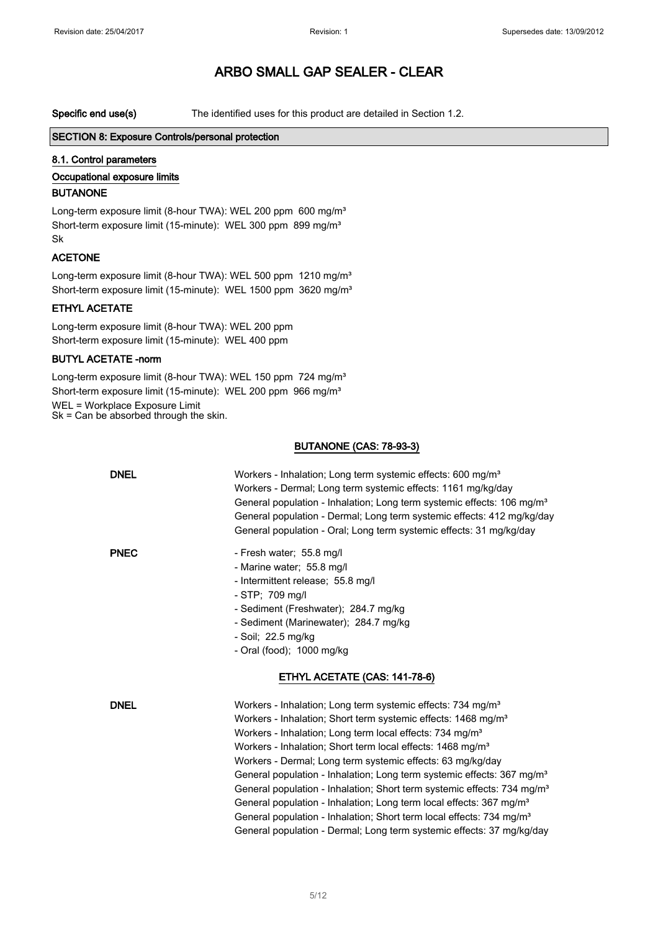Specific end use(s) The identified uses for this product are detailed in Section 1.2.

#### SECTION 8: Exposure Controls/personal protection

#### 8.1. Control parameters

## Occupational exposure limits

#### BUTANONE

Long-term exposure limit (8-hour TWA): WEL 200 ppm 600 mg/m<sup>3</sup> Short-term exposure limit (15-minute): WEL 300 ppm 899 mg/m<sup>3</sup> Sk

## ACETONE

Long-term exposure limit (8-hour TWA): WEL 500 ppm 1210 mg/m<sup>3</sup> Short-term exposure limit (15-minute): WEL 1500 ppm 3620 mg/m<sup>3</sup>

## ETHYL ACETATE

Long-term exposure limit (8-hour TWA): WEL 200 ppm Short-term exposure limit (15-minute): WEL 400 ppm

## BUTYL ACETATE -norm

Long-term exposure limit (8-hour TWA): WEL 150 ppm 724 mg/m<sup>3</sup> Short-term exposure limit (15-minute): WEL 200 ppm 966 mg/m<sup>3</sup> WEL = Workplace Exposure Limit

 $Sk = Can be absorbed through the skin.$ 

#### BUTANONE (CAS: 78-93-3)

| <b>DNEL</b> | Workers - Inhalation; Long term systemic effects: 600 mg/m <sup>3</sup><br>Workers - Dermal; Long term systemic effects: 1161 mg/kg/day<br>General population - Inhalation; Long term systemic effects: 106 mg/m <sup>3</sup><br>General population - Dermal; Long term systemic effects: 412 mg/kg/day<br>General population - Oral; Long term systemic effects: 31 mg/kg/day                                                                                                                                                                                                                                                                                                                                                                                                                    |
|-------------|---------------------------------------------------------------------------------------------------------------------------------------------------------------------------------------------------------------------------------------------------------------------------------------------------------------------------------------------------------------------------------------------------------------------------------------------------------------------------------------------------------------------------------------------------------------------------------------------------------------------------------------------------------------------------------------------------------------------------------------------------------------------------------------------------|
| <b>PNEC</b> | - Fresh water; 55.8 mg/l<br>- Marine water; 55.8 mg/l<br>- Intermittent release; 55.8 mg/l<br>- STP: 709 mg/l<br>- Sediment (Freshwater); 284.7 mg/kg<br>- Sediment (Marinewater); 284.7 mg/kg<br>- Soil; 22.5 mg/kg<br>- Oral (food); $1000$ mg/kg<br>ETHYL ACETATE (CAS: 141-78-6)                                                                                                                                                                                                                                                                                                                                                                                                                                                                                                              |
| <b>DNEL</b> | Workers - Inhalation: Long term systemic effects: 734 mg/m <sup>3</sup><br>Workers - Inhalation; Short term systemic effects: 1468 mg/m <sup>3</sup><br>Workers - Inhalation; Long term local effects: 734 mg/m <sup>3</sup><br>Workers - Inhalation; Short term local effects: 1468 mg/m <sup>3</sup><br>Workers - Dermal; Long term systemic effects: 63 mg/kg/day<br>General population - Inhalation; Long term systemic effects: 367 mg/m <sup>3</sup><br>General population - Inhalation; Short term systemic effects: 734 mg/m <sup>3</sup><br>General population - Inhalation; Long term local effects: 367 mg/m <sup>3</sup><br>General population - Inhalation; Short term local effects: 734 mg/m <sup>3</sup><br>General population - Dermal; Long term systemic effects: 37 mg/kg/day |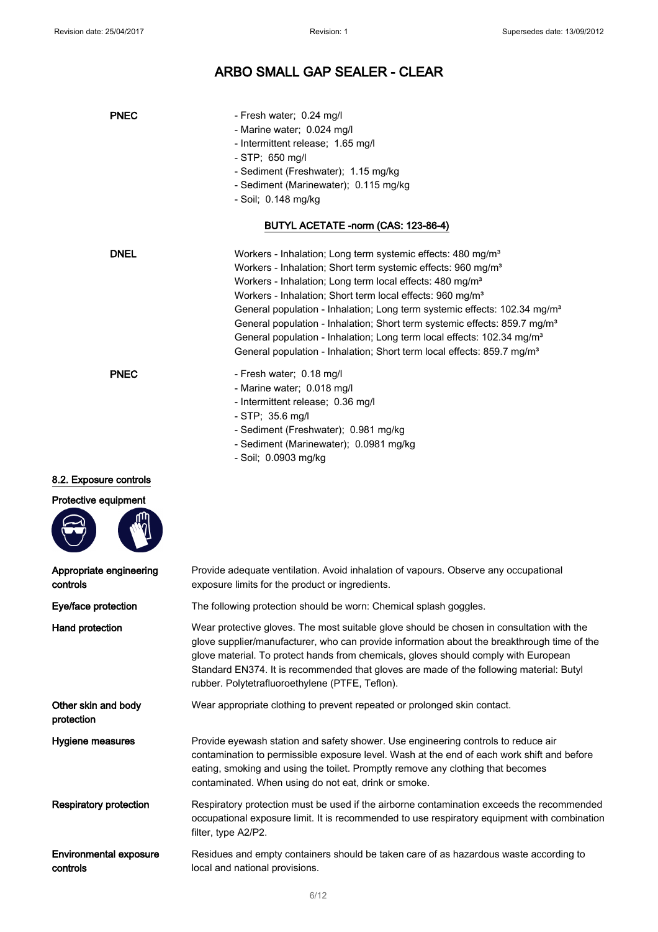| <b>PNEC</b>                               | - Fresh water; 0.24 mg/l<br>- Marine water; 0.024 mg/l<br>- Intermittent release; 1.65 mg/l<br>$-$ STP; 650 mg/l<br>- Sediment (Freshwater); 1.15 mg/kg<br>- Sediment (Marinewater); 0.115 mg/kg<br>- Soil; 0.148 mg/kg                                                                                                                                                                                                                                                                                                                                                                                                                                            |
|-------------------------------------------|--------------------------------------------------------------------------------------------------------------------------------------------------------------------------------------------------------------------------------------------------------------------------------------------------------------------------------------------------------------------------------------------------------------------------------------------------------------------------------------------------------------------------------------------------------------------------------------------------------------------------------------------------------------------|
|                                           | BUTYL ACETATE -norm (CAS: 123-86-4)                                                                                                                                                                                                                                                                                                                                                                                                                                                                                                                                                                                                                                |
| <b>DNEL</b>                               | Workers - Inhalation; Long term systemic effects: 480 mg/m <sup>3</sup><br>Workers - Inhalation; Short term systemic effects: 960 mg/m <sup>3</sup><br>Workers - Inhalation; Long term local effects: 480 mg/m <sup>3</sup><br>Workers - Inhalation; Short term local effects: 960 mg/m <sup>3</sup><br>General population - Inhalation; Long term systemic effects: 102.34 mg/m <sup>3</sup><br>General population - Inhalation; Short term systemic effects: 859.7 mg/m <sup>3</sup><br>General population - Inhalation; Long term local effects: 102.34 mg/m <sup>3</sup><br>General population - Inhalation; Short term local effects: 859.7 mg/m <sup>3</sup> |
| <b>PNEC</b>                               | - Fresh water; 0.18 mg/l<br>- Marine water; 0.018 mg/l<br>- Intermittent release; 0.36 mg/l<br>$-$ STP; 35.6 mg/l<br>- Sediment (Freshwater); 0.981 mg/kg<br>- Sediment (Marinewater); 0.0981 mg/kg<br>- Soil; 0.0903 mg/kg                                                                                                                                                                                                                                                                                                                                                                                                                                        |
| 8.2. Exposure controls                    |                                                                                                                                                                                                                                                                                                                                                                                                                                                                                                                                                                                                                                                                    |
| Protective equipment                      |                                                                                                                                                                                                                                                                                                                                                                                                                                                                                                                                                                                                                                                                    |
| Appropriate engineering<br>controls       | Provide adequate ventilation. Avoid inhalation of vapours. Observe any occupational<br>exposure limits for the product or ingredients.                                                                                                                                                                                                                                                                                                                                                                                                                                                                                                                             |
| Eye/face protection                       | The following protection should be worn: Chemical splash goggles.                                                                                                                                                                                                                                                                                                                                                                                                                                                                                                                                                                                                  |
| Hand protection                           | Wear protective gloves. The most suitable glove should be chosen in consultation with the<br>glove supplier/manufacturer, who can provide information about the breakthrough time of the<br>glove material. To protect hands from chemicals, gloves should comply with European<br>Standard EN374. It is recommended that gloves are made of the following material: Butyl<br>rubber. Polytetrafluoroethylene (PTFE, Teflon).                                                                                                                                                                                                                                      |
| Other skin and body<br>protection         | Wear appropriate clothing to prevent repeated or prolonged skin contact.                                                                                                                                                                                                                                                                                                                                                                                                                                                                                                                                                                                           |
| Hygiene measures                          | Provide eyewash station and safety shower. Use engineering controls to reduce air<br>contamination to permissible exposure level. Wash at the end of each work shift and before<br>eating, smoking and using the toilet. Promptly remove any clothing that becomes<br>contaminated. When using do not eat, drink or smoke.                                                                                                                                                                                                                                                                                                                                         |
| <b>Respiratory protection</b>             | Respiratory protection must be used if the airborne contamination exceeds the recommended<br>occupational exposure limit. It is recommended to use respiratory equipment with combination<br>filter, type A2/P2.                                                                                                                                                                                                                                                                                                                                                                                                                                                   |
| <b>Environmental exposure</b><br>controls | Residues and empty containers should be taken care of as hazardous waste according to<br>local and national provisions.                                                                                                                                                                                                                                                                                                                                                                                                                                                                                                                                            |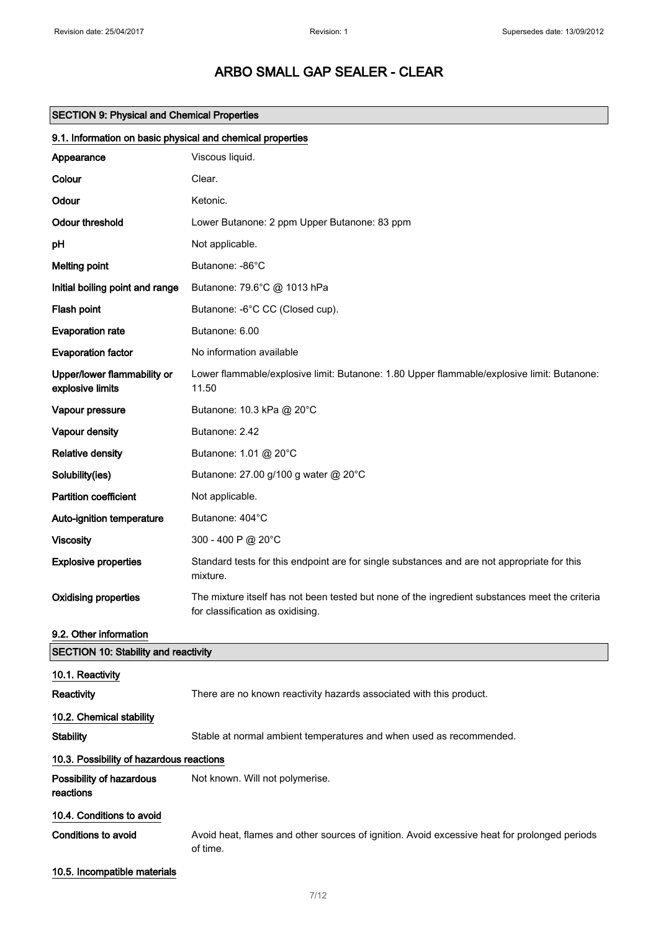# SECTION 9: Physical and Chemical Properties

| 9.1. Information on basic physical and chemical properties |                                                                                                                                    |  |
|------------------------------------------------------------|------------------------------------------------------------------------------------------------------------------------------------|--|
| Appearance                                                 | Viscous liquid.                                                                                                                    |  |
| Colour                                                     | Clear.                                                                                                                             |  |
| Odour                                                      | Ketonic.                                                                                                                           |  |
| <b>Odour threshold</b>                                     | Lower Butanone: 2 ppm Upper Butanone: 83 ppm                                                                                       |  |
| рH                                                         | Not applicable.                                                                                                                    |  |
| <b>Melting point</b>                                       | Butanone: -86°C                                                                                                                    |  |
| Initial boiling point and range                            | Butanone: 79.6°C @ 1013 hPa                                                                                                        |  |
| Flash point                                                | Butanone: -6°C CC (Closed cup).                                                                                                    |  |
| <b>Evaporation rate</b>                                    | Butanone: 6.00                                                                                                                     |  |
| <b>Evaporation factor</b>                                  | No information available                                                                                                           |  |
| Upper/lower flammability or<br>explosive limits            | Lower flammable/explosive limit: Butanone: 1.80 Upper flammable/explosive limit: Butanone:<br>11.50                                |  |
| Vapour pressure                                            | Butanone: 10.3 kPa @ 20°C                                                                                                          |  |
| Vapour density                                             | Butanone: 2.42                                                                                                                     |  |
| <b>Relative density</b>                                    | Butanone: 1.01 @ 20°C                                                                                                              |  |
| Solubility(ies)                                            | Butanone: 27.00 g/100 g water @ 20°C                                                                                               |  |
| <b>Partition coefficient</b>                               | Not applicable.                                                                                                                    |  |
| Auto-ignition temperature                                  | Butanone: 404°C                                                                                                                    |  |
| <b>Viscosity</b>                                           | 300 - 400 P @ 20°C                                                                                                                 |  |
| <b>Explosive properties</b>                                | Standard tests for this endpoint are for single substances and are not appropriate for this<br>mixture.                            |  |
| <b>Oxidising properties</b>                                | The mixture itself has not been tested but none of the ingredient substances meet the criteria<br>for classification as oxidising. |  |
| 9.2. Other information                                     |                                                                                                                                    |  |
| <b>SECTION 10: Stability and reactivity</b>                |                                                                                                                                    |  |
| 10.1. Reactivity                                           |                                                                                                                                    |  |
| Reactivity                                                 | There are no known reactivity hazards associated with this product.                                                                |  |
| 10.2. Chemical stability                                   |                                                                                                                                    |  |
| <b>Stability</b>                                           | Stable at normal ambient temperatures and when used as recommended.                                                                |  |
| 10.3. Possibility of hazardous reactions                   |                                                                                                                                    |  |
| Possibility of hazardous<br>reactions                      | Not known. Will not polymerise.                                                                                                    |  |
| 10.4. Conditions to avoid                                  |                                                                                                                                    |  |
| <b>Conditions to avoid</b>                                 | Avoid heat, flames and other sources of ignition. Avoid excessive heat for prolonged periods<br>of time.                           |  |
| 10.5. Incompatible materials                               |                                                                                                                                    |  |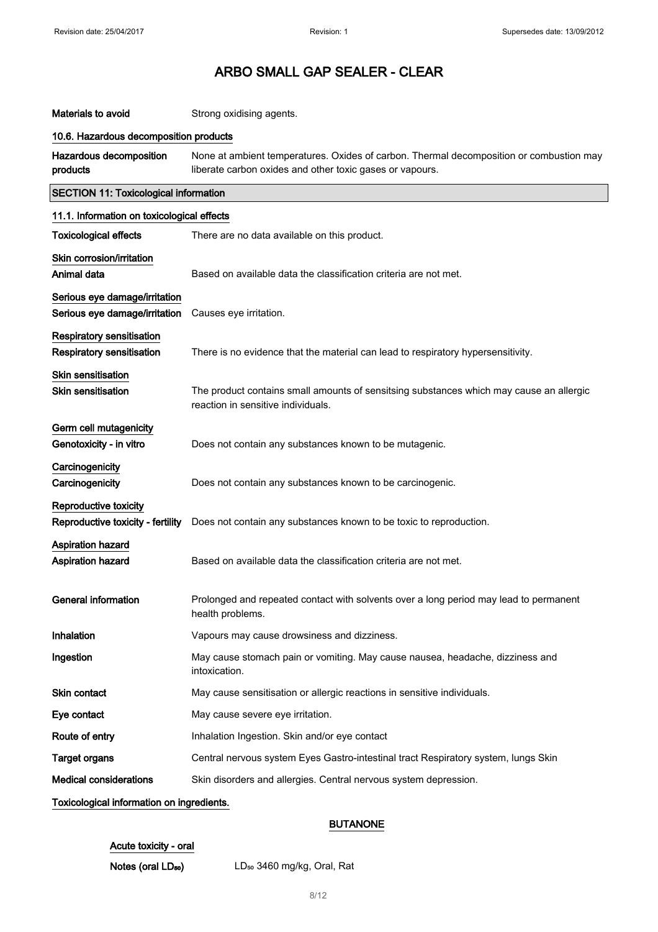| Materials to avoid                                             | Strong oxidising agents.                                                                                                                            |  |
|----------------------------------------------------------------|-----------------------------------------------------------------------------------------------------------------------------------------------------|--|
| 10.6. Hazardous decomposition products                         |                                                                                                                                                     |  |
| Hazardous decomposition<br>products                            | None at ambient temperatures. Oxides of carbon. Thermal decomposition or combustion may<br>liberate carbon oxides and other toxic gases or vapours. |  |
| <b>SECTION 11: Toxicological information</b>                   |                                                                                                                                                     |  |
| 11.1. Information on toxicological effects                     |                                                                                                                                                     |  |
| <b>Toxicological effects</b>                                   | There are no data available on this product.                                                                                                        |  |
| Skin corrosion/irritation<br>Animal data                       | Based on available data the classification criteria are not met.                                                                                    |  |
|                                                                |                                                                                                                                                     |  |
| Serious eye damage/irritation<br>Serious eye damage/irritation | Causes eye irritation.                                                                                                                              |  |
| Respiratory sensitisation<br>Respiratory sensitisation         | There is no evidence that the material can lead to respiratory hypersensitivity.                                                                    |  |
| Skin sensitisation<br><b>Skin sensitisation</b>                | The product contains small amounts of sensitsing substances which may cause an allergic<br>reaction in sensitive individuals.                       |  |
| Germ cell mutagenicity<br>Genotoxicity - in vitro              | Does not contain any substances known to be mutagenic.                                                                                              |  |
| Carcinogenicity<br>Carcinogenicity                             | Does not contain any substances known to be carcinogenic.                                                                                           |  |
| Reproductive toxicity<br>Reproductive toxicity - fertility     | Does not contain any substances known to be toxic to reproduction.                                                                                  |  |
| <b>Aspiration hazard</b><br><b>Aspiration hazard</b>           | Based on available data the classification criteria are not met.                                                                                    |  |
| General information                                            | Prolonged and repeated contact with solvents over a long period may lead to permanent<br>health problems.                                           |  |
| Inhalation                                                     | Vapours may cause drowsiness and dizziness.                                                                                                         |  |
| Ingestion                                                      | May cause stomach pain or vomiting. May cause nausea, headache, dizziness and<br>intoxication.                                                      |  |
| Skin contact                                                   | May cause sensitisation or allergic reactions in sensitive individuals.                                                                             |  |
| Eye contact                                                    | May cause severe eye irritation.                                                                                                                    |  |
| Route of entry                                                 | Inhalation Ingestion. Skin and/or eye contact                                                                                                       |  |
| <b>Target organs</b>                                           | Central nervous system Eyes Gastro-intestinal tract Respiratory system, lungs Skin                                                                  |  |
| <b>Medical considerations</b>                                  | Skin disorders and allergies. Central nervous system depression.                                                                                    |  |
| Toxicological information on ingredients.                      |                                                                                                                                                     |  |

## BUTANONE

## Acute toxicity - oral

Notes (oral LD<sub>50</sub>) LD<sub>50</sub> 3460 mg/kg, Oral, Rat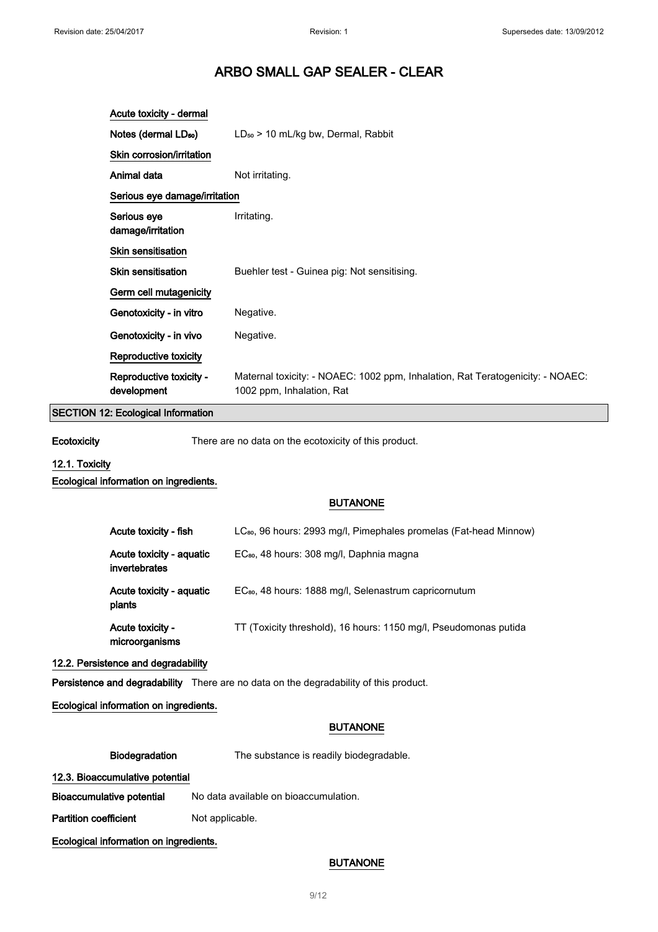| Acute toxicity - dermal                |                                                                                                             |
|----------------------------------------|-------------------------------------------------------------------------------------------------------------|
| Notes (dermal LD <sub>50</sub> )       | $LD_{50}$ > 10 mL/kg bw, Dermal, Rabbit                                                                     |
| Skin corrosion/irritation              |                                                                                                             |
| Animal data                            | Not irritating.                                                                                             |
| Serious eye damage/irritation          |                                                                                                             |
| Serious eye<br>damage/irritation       | Irritating.                                                                                                 |
| <b>Skin sensitisation</b>              |                                                                                                             |
| <b>Skin sensitisation</b>              | Buehler test - Guinea pig: Not sensitising.                                                                 |
| Germ cell mutagenicity                 |                                                                                                             |
| Genotoxicity - in vitro                | Negative.                                                                                                   |
| Genotoxicity - in vivo                 | Negative.                                                                                                   |
| Reproductive toxicity                  |                                                                                                             |
| Reproductive toxicity -<br>development | Maternal toxicity: - NOAEC: 1002 ppm, Inhalation, Rat Teratogenicity: - NOAEC:<br>1002 ppm, Inhalation, Rat |

## SECTION 12: Ecological Information

Ecotoxicity There are no data on the ecotoxicity of this product.

## 12.1. Toxicity

#### Ecological information on ingredients.

### BUTANONE

| Acute toxicity - fish                     | LC <sub>80</sub> , 96 hours: 2993 mg/l, Pimephales promelas (Fat-head Minnow) |
|-------------------------------------------|-------------------------------------------------------------------------------|
| Acute toxicity - aquatic<br>invertebrates | EC <sub>80</sub> , 48 hours: 308 mg/l, Daphnia magna                          |
| Acute toxicity - aquatic<br>plants        | EC <sub>80</sub> , 48 hours: 1888 mg/l, Selenastrum capricornutum             |
| Acute toxicity -<br>microorganisms        | TT (Toxicity threshold), 16 hours: 1150 mg/l, Pseudomonas putida              |

### 12.2. Persistence and degradability

Persistence and degradability There are no data on the degradability of this product.

### Ecological information on ingredients.

#### BUTANONE

Biodegradation The substance is readily biodegradable.

## 12.3. Bioaccumulative potential

Bioaccumulative potential No data available on bioaccumulation.

Partition coefficient Not applicable.

Ecological information on ingredients.

## BUTANONE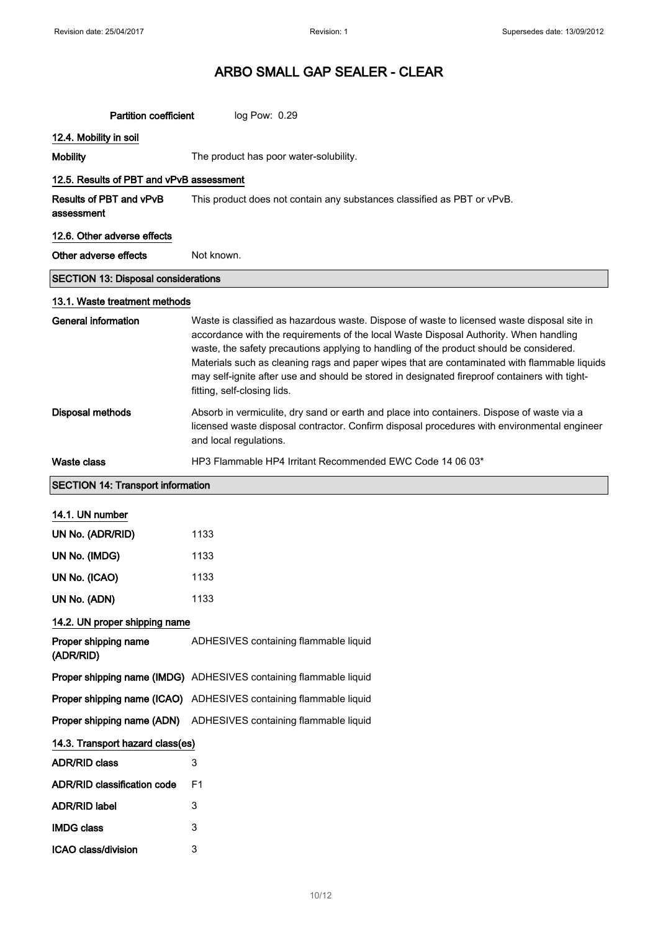| <b>Partition coefficient</b>                 | log Pow: 0.29                                                                                                                                                                                                                                                                                                                                                                                                                                                                                                   |
|----------------------------------------------|-----------------------------------------------------------------------------------------------------------------------------------------------------------------------------------------------------------------------------------------------------------------------------------------------------------------------------------------------------------------------------------------------------------------------------------------------------------------------------------------------------------------|
| 12.4. Mobility in soil                       |                                                                                                                                                                                                                                                                                                                                                                                                                                                                                                                 |
| <b>Mobility</b>                              | The product has poor water-solubility.                                                                                                                                                                                                                                                                                                                                                                                                                                                                          |
| 12.5. Results of PBT and vPvB assessment     |                                                                                                                                                                                                                                                                                                                                                                                                                                                                                                                 |
| <b>Results of PBT and vPvB</b><br>assessment | This product does not contain any substances classified as PBT or vPvB.                                                                                                                                                                                                                                                                                                                                                                                                                                         |
| 12.6. Other adverse effects                  |                                                                                                                                                                                                                                                                                                                                                                                                                                                                                                                 |
| Other adverse effects                        | Not known.                                                                                                                                                                                                                                                                                                                                                                                                                                                                                                      |
| <b>SECTION 13: Disposal considerations</b>   |                                                                                                                                                                                                                                                                                                                                                                                                                                                                                                                 |
| 13.1. Waste treatment methods                |                                                                                                                                                                                                                                                                                                                                                                                                                                                                                                                 |
| <b>General information</b>                   | Waste is classified as hazardous waste. Dispose of waste to licensed waste disposal site in<br>accordance with the requirements of the local Waste Disposal Authority. When handling<br>waste, the safety precautions applying to handling of the product should be considered.<br>Materials such as cleaning rags and paper wipes that are contaminated with flammable liquids<br>may self-ignite after use and should be stored in designated fireproof containers with tight-<br>fitting, self-closing lids. |
| <b>Disposal methods</b>                      | Absorb in vermiculite, dry sand or earth and place into containers. Dispose of waste via a<br>licensed waste disposal contractor. Confirm disposal procedures with environmental engineer<br>and local regulations.                                                                                                                                                                                                                                                                                             |
| Waste class                                  | HP3 Flammable HP4 Irritant Recommended EWC Code 14 06 03*                                                                                                                                                                                                                                                                                                                                                                                                                                                       |
| <b>SECTION 14: Transport information</b>     |                                                                                                                                                                                                                                                                                                                                                                                                                                                                                                                 |
| 14.1. UN number                              |                                                                                                                                                                                                                                                                                                                                                                                                                                                                                                                 |
| UN No. (ADR/RID)                             | 1133                                                                                                                                                                                                                                                                                                                                                                                                                                                                                                            |
| UN No. (IMDG)                                | 1133                                                                                                                                                                                                                                                                                                                                                                                                                                                                                                            |
| UN No. (ICAO)                                | 1133                                                                                                                                                                                                                                                                                                                                                                                                                                                                                                            |
| UN No. (ADN)                                 | 1133                                                                                                                                                                                                                                                                                                                                                                                                                                                                                                            |
| 14.2. UN proper shipping name                |                                                                                                                                                                                                                                                                                                                                                                                                                                                                                                                 |
| Proper shipping name<br>(ADR/RID)            | ADHESIVES containing flammable liquid                                                                                                                                                                                                                                                                                                                                                                                                                                                                           |
|                                              | Proper shipping name (IMDG) ADHESIVES containing flammable liquid                                                                                                                                                                                                                                                                                                                                                                                                                                               |
|                                              | Proper shipping name (ICAO) ADHESIVES containing flammable liquid                                                                                                                                                                                                                                                                                                                                                                                                                                               |
| Proper shipping name (ADN)                   | ADHESIVES containing flammable liquid                                                                                                                                                                                                                                                                                                                                                                                                                                                                           |
| 14.3. Transport hazard class(es)             |                                                                                                                                                                                                                                                                                                                                                                                                                                                                                                                 |
| <b>ADR/RID class</b>                         | 3                                                                                                                                                                                                                                                                                                                                                                                                                                                                                                               |
| <b>ADR/RID classification code</b>           | F1                                                                                                                                                                                                                                                                                                                                                                                                                                                                                                              |
| <b>ADR/RID label</b>                         | 3                                                                                                                                                                                                                                                                                                                                                                                                                                                                                                               |
| <b>IMDG class</b>                            | 3                                                                                                                                                                                                                                                                                                                                                                                                                                                                                                               |
| ICAO class/division                          | 3                                                                                                                                                                                                                                                                                                                                                                                                                                                                                                               |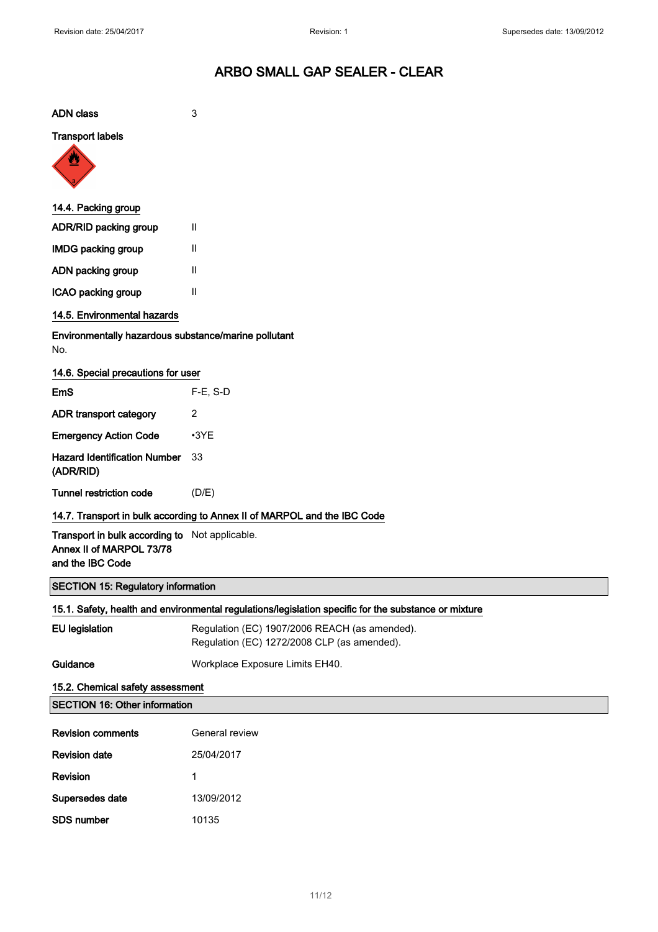| <b>ADN</b> class                                                                                     | 3                                                                                            |  |
|------------------------------------------------------------------------------------------------------|----------------------------------------------------------------------------------------------|--|
| <b>Transport labels</b>                                                                              |                                                                                              |  |
|                                                                                                      |                                                                                              |  |
|                                                                                                      |                                                                                              |  |
| 14.4. Packing group                                                                                  |                                                                                              |  |
| ADR/RID packing group                                                                                | H.                                                                                           |  |
| <b>IMDG packing group</b>                                                                            | H.                                                                                           |  |
| ADN packing group                                                                                    | H.                                                                                           |  |
| ICAO packing group                                                                                   | Ш                                                                                            |  |
| 14.5. Environmental hazards                                                                          |                                                                                              |  |
| Environmentally hazardous substance/marine pollutant<br>No.                                          |                                                                                              |  |
| 14.6. Special precautions for user                                                                   |                                                                                              |  |
| EmS                                                                                                  | $F-E$ , S-D                                                                                  |  |
| ADR transport category                                                                               | $\overline{2}$                                                                               |  |
| <b>Emergency Action Code</b>                                                                         | $-3YE$                                                                                       |  |
| <b>Hazard Identification Number</b><br>(ADR/RID)                                                     | 33                                                                                           |  |
| Tunnel restriction code                                                                              | (D/E)                                                                                        |  |
| 14.7. Transport in bulk according to Annex II of MARPOL and the IBC Code                             |                                                                                              |  |
| Transport in bulk according to Not applicable.<br>Annex II of MARPOL 73/78<br>and the IBC Code       |                                                                                              |  |
| <b>SECTION 15: Regulatory information</b>                                                            |                                                                                              |  |
| 15.1. Safety, health and environmental regulations/legislation specific for the substance or mixture |                                                                                              |  |
| <b>EU</b> legislation                                                                                | Regulation (EC) 1907/2006 REACH (as amended).<br>Regulation (EC) 1272/2008 CLP (as amended). |  |
| Guidance                                                                                             | Workplace Exposure Limits EH40.                                                              |  |
| 15.2. Chemical safety assessment                                                                     |                                                                                              |  |
| <b>SECTION 16: Other information</b>                                                                 |                                                                                              |  |
| <b>Revision comments</b>                                                                             | General review                                                                               |  |
| <b>Revision date</b>                                                                                 | 25/04/2017                                                                                   |  |
| Revision                                                                                             | 1                                                                                            |  |
| Supersedes date                                                                                      | 13/09/2012                                                                                   |  |
| SDS number                                                                                           | 10135                                                                                        |  |